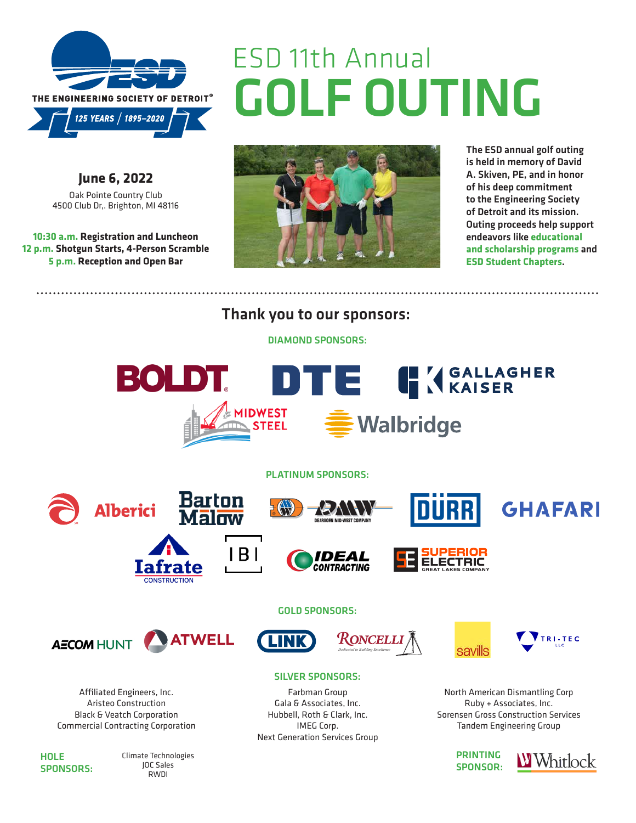

GOLF OUTING ESD 11th Annual

**June 6, 2022** [Oak Pointe Country Club](http://goo.gl/maps/F4DGv) [4500 Club Dr,. Brighton, MI 48116](http://goo.gl/maps/F4DGv)

**10:30 a.m. Registration and Luncheon 12 p.m. Shotgun Starts, 4-Person Scramble 5 p.m. Reception and Open Bar** 



The ESD annual golf outing is held in memory of David A. Skiven, PE, and in honor of his deep commitment to the Engineering Society of Detroit and its mission. Outing proceeds help support endeavors like **educational and scholarship programs** and **ESD Student Chapters**.

Thank you to our sponsors:

DIAMOND SPONSORS:



**HOLE** SPONSORS: Climate Technologies JOC Sales RWDI

PRINTING SPONSOR: